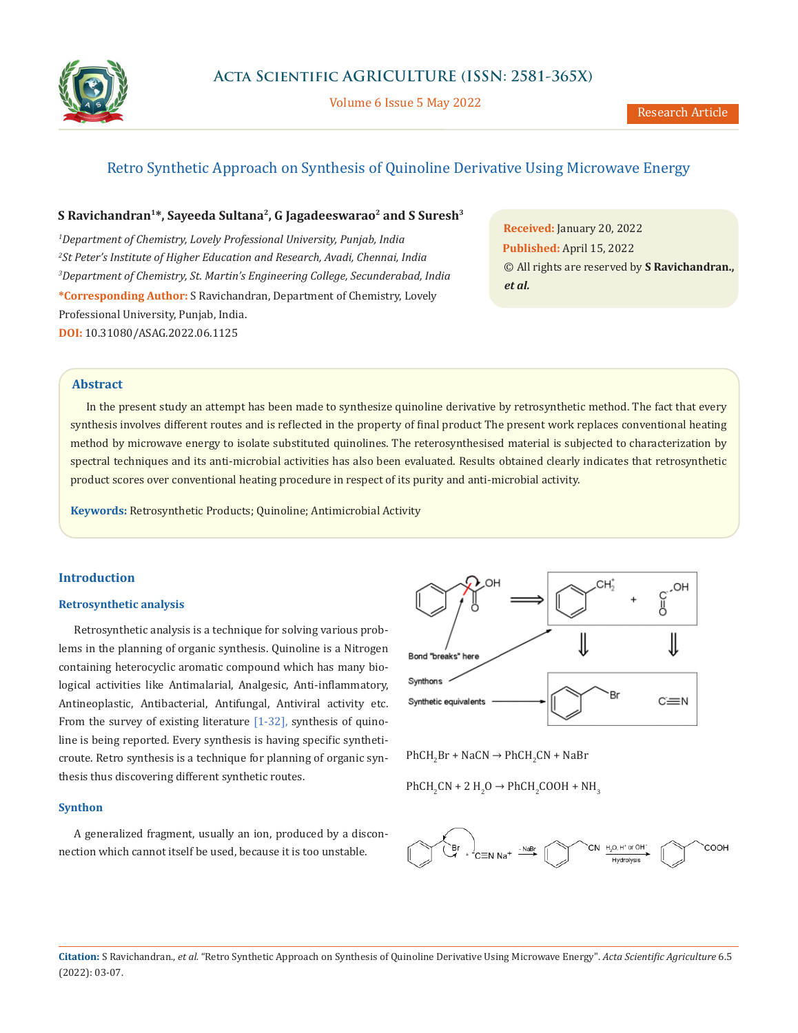

Volume 6 Issue 5 May 2022

# Retro Synthetic Approach on Synthesis of Quinoline Derivative Using Microwave Energy

## S Ravichandran<sup>1\*</sup>, Sayeeda Sultana<sup>2</sup>, G Jagadeeswarao<sup>2</sup> and S Suresh<sup>3</sup>

*1 Department of Chemistry, Lovely Professional University, Punjab, India 2 St Peter's Institute of Higher Education and Research, Avadi, Chennai, India 3 Department of Chemistry, St. Martin's Engineering College, Secunderabad, India* **\*Corresponding Author:** S Ravichandran, Department of Chemistry, Lovely Professional University, Punjab, India. **DOI:** [10.31080/ASAG.2022.06.1125](https://actascientific.com/ASAG/pdf/ASAG-06-1125.pdf)

**Received:** January 20, 2022 **Published:** April 15, 2022 © All rights are reserved by **S Ravichandran.,**  *et al.*

### **Abstract**

In the present study an attempt has been made to synthesize quinoline derivative by retrosynthetic method. The fact that every synthesis involves different routes and is reflected in the property of final product The present work replaces conventional heating method by microwave energy to isolate substituted quinolines. The reterosynthesised material is subjected to characterization by spectral techniques and its anti-microbial activities has also been evaluated. Results obtained clearly indicates that retrosynthetic product scores over conventional heating procedure in respect of its purity and anti-microbial activity.

**Keywords:** Retrosynthetic Products; Quinoline; Antimicrobial Activity

### **Introduction**

### **Retrosynthetic analysis**

Retrosynthetic analysis is a technique for solving various problems in the planning of [organic synthesis.](https://en.wikipedia.org/wiki/Organic_synthesis) Quinoline is a Nitrogen containing heterocyclic aromatic compound which has many biological activities like Antimalarial, Analgesic, Anti-inflammatory, Antineoplastic, Antibacterial, Antifungal, Antiviral activity etc. From the survey of existing literature  $[1-32]$ , synthesis of quinoline is being reported. Every synthesis is having specific syntheticroute. Retro synthesis is a technique for planning of organic synthesis thus discovering different synthetic routes.

### **Synthon**

A generalized fragment, usually an ion, produced by a disconnection which cannot itself be used, because it is too unstable.



 $PhCH<sub>2</sub>Br + NaCN \rightarrow PhCH<sub>2</sub>CN + NaBr$ 

PhCH<sub>2</sub>CN + 2 H<sub>2</sub>O  $\rightarrow$  PhCH<sub>2</sub>COOH + NH<sub>3</sub>



**Citation:** S Ravichandran., *et al.* "Retro Synthetic Approach on Synthesis of Quinoline Derivative Using Microwave Energy". *Acta Scientific Agriculture* 6.5 (2022): 03-07.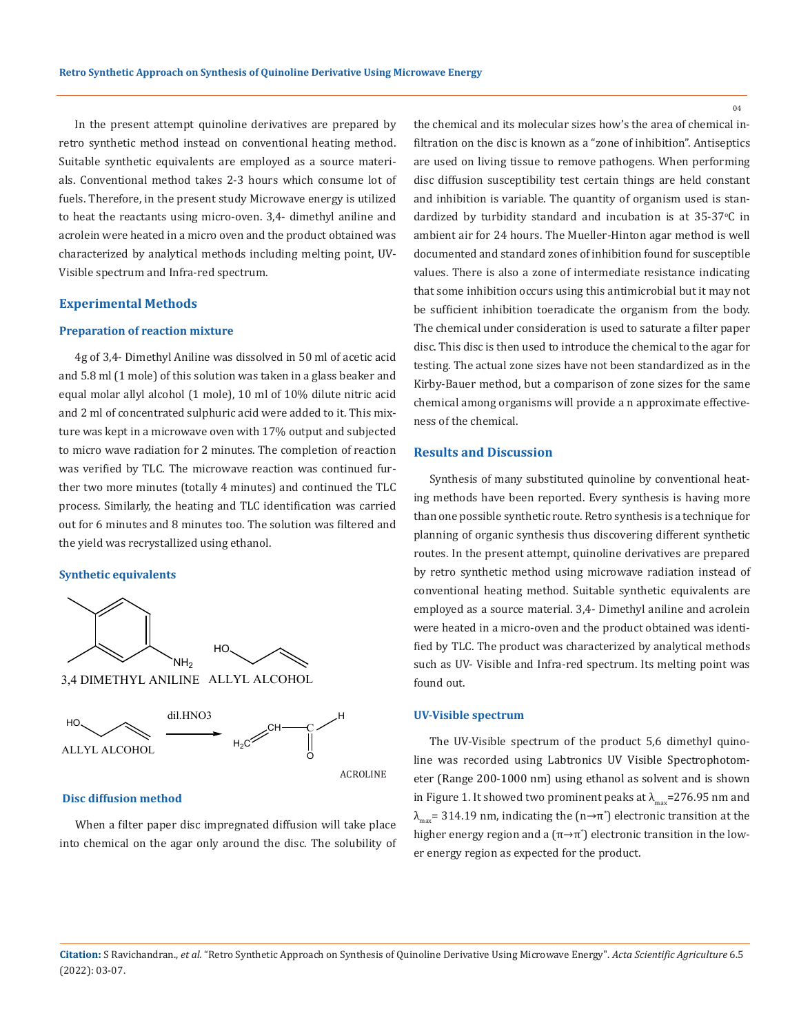In the present attempt quinoline derivatives are prepared by retro synthetic method instead on conventional heating method. Suitable synthetic equivalents are employed as a source materials. Conventional method takes 2-3 hours which consume lot of fuels. Therefore, in the present study Microwave energy is utilized to heat the reactants using micro-oven. 3,4- dimethyl aniline and acrolein were heated in a micro oven and the product obtained was characterized by analytical methods including melting point, UV-Visible spectrum and Infra-red spectrum.

#### **Experimental Methods**

### **Preparation of reaction mixture**

4g of 3,4- Dimethyl Aniline was dissolved in 50 ml of acetic acid and 5.8 ml (1 mole) of this solution was taken in a glass beaker and equal molar allyl alcohol (1 mole), 10 ml of 10% dilute nitric acid and 2 ml of concentrated sulphuric acid were added to it. This mixture was kept in a microwave oven with 17% output and subjected to micro wave radiation for 2 minutes. The completion of reaction was verified by TLC. The microwave reaction was continued further two more minutes (totally 4 minutes) and continued the TLC process. Similarly, the heating and TLC identification was carried out for 6 minutes and 8 minutes too. The solution was filtered and the yield was recrystallized using ethanol.

### **Synthetic equivalents**





#### **Disc diffusion method**

When a filter paper disc impregnated diffusion will take place into chemical on the agar only around the disc. The solubility of the chemical and its molecular sizes how's the area of chemical infiltration on the disc is known as a "zone of inhibition". Antiseptics are used on living tissue to remove pathogens. When performing disc diffusion susceptibility test certain things are held constant and inhibition is variable. The quantity of organism used is standardized by turbidity standard and incubation is at  $35\text{-}37^{\circ}\text{C}$  in ambient air for 24 hours. The Mueller-Hinton agar method is well documented and standard zones of inhibition found for susceptible values. There is also a zone of intermediate resistance indicating that some inhibition occurs using this antimicrobial but it may not be sufficient inhibition toeradicate the organism from the body. The chemical under consideration is used to saturate a filter paper disc. This disc is then used to introduce the chemical to the agar for testing. The actual zone sizes have not been standardized as in the Kirby-Bauer method, but a comparison of zone sizes for the same chemical among organisms will provide a n approximate effectiveness of the chemical.

### **Results and Discussion**

Synthesis of many substituted quinoline by conventional heating methods have been reported. Every synthesis is having more than one possible synthetic route. Retro synthesis is a technique for planning of organic synthesis thus discovering different synthetic routes. In the present attempt, quinoline derivatives are prepared by retro synthetic method using microwave radiation instead of conventional heating method. Suitable synthetic equivalents are employed as a source material. 3,4- Dimethyl aniline and acrolein were heated in a micro-oven and the product obtained was identified by TLC. The product was characterized by analytical methods such as UV- Visible and Infra-red spectrum. Its melting point was found out.

#### **UV-Visible spectrum**

The UV-Visible spectrum of the product 5,6 dimethyl quinoline was recorded using Labtronics UV Visible Spectrophotometer (Range 200-1000 nm) using ethanol as solvent and is shown in Figure 1. It showed two prominent peaks at  $\lambda_{\text{max}}$ =276.95 nm and  $\lambda_{\textrm{\tiny{max}}}$ = 314.19 nm, indicating the (n→π $^{\textrm{\tiny{}}}$ ) electronic transition at the higher energy region and a  $(\pi \rightarrow \pi^\ast)$  electronic transition in the lower energy region as expected for the product.

**Citation:** S Ravichandran., *et al.* "Retro Synthetic Approach on Synthesis of Quinoline Derivative Using Microwave Energy". *Acta Scientific Agriculture* 6.5 (2022): 03-07.

 $04$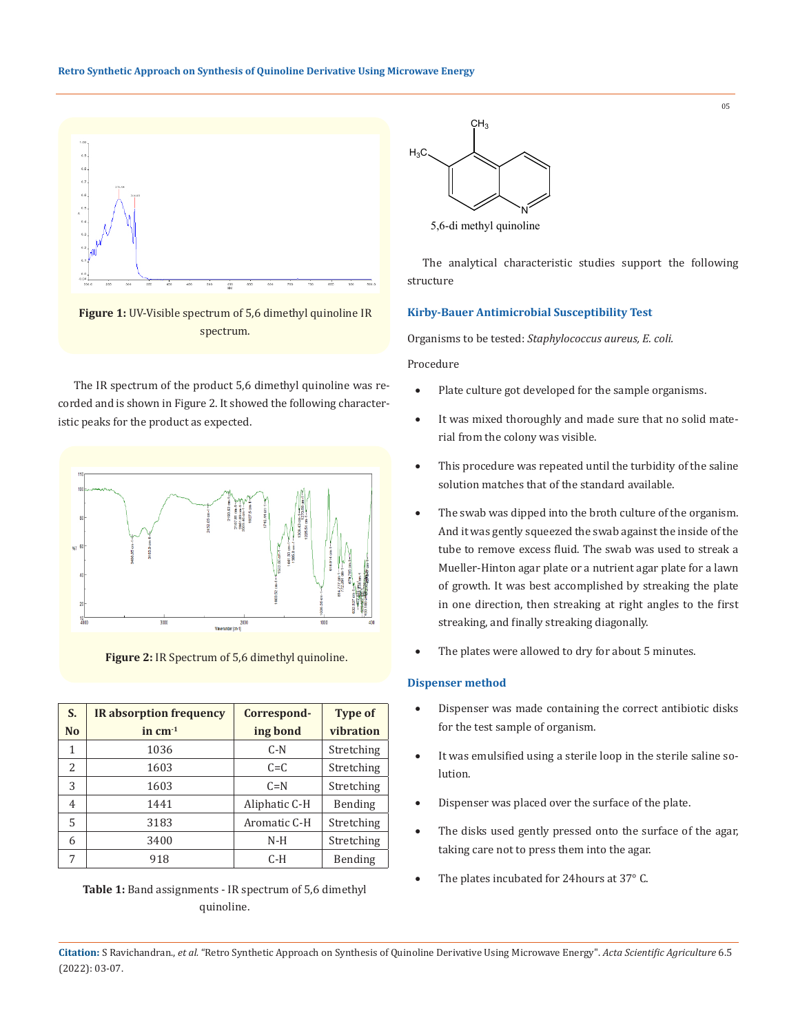

**Figure 1:** UV-Visible spectrum of 5,6 dimethyl quinoline IR spectrum.

The IR spectrum of the product 5,6 dimethyl quinoline was recorded and is shown in Figure 2. It showed the following characteristic peaks for the product as expected.



**Figure 2:** IR Spectrum of 5,6 dimethyl quinoline.

| S.             | <b>IR</b> absorption frequency | Correspond-   | <b>Type of</b> |
|----------------|--------------------------------|---------------|----------------|
| N <sub>o</sub> | in $cm-1$                      | ing bond      | vibration      |
| 1              | 1036                           | $C-N$         | Stretching     |
| 2              | 1603                           | $C = C$       | Stretching     |
| 3              | 1603                           | $C = N$       | Stretching     |
| 4              | 1441                           | Aliphatic C-H | Bending        |
| 5              | 3183                           | Aromatic C-H  | Stretching     |
| 6              | 3400                           | $N-H$         | Stretching     |
| 7              | 918                            | C-H           | Bending        |

**Table 1:** Band assignments - IR spectrum of 5,6 dimethyl quinoline.



5,6-di methyl quinoline

The analytical characteristic studies support the following structure

### **Kirby-Bauer Antimicrobial Susceptibility Test**

Organisms to be tested: *Staphylococcus aureus, E. coli.*

Procedure

- Plate culture got developed for the sample organisms.
- It was mixed thoroughly and made sure that no solid material from the colony was visible.
- • This procedure was repeated until the turbidity of the saline solution matches that of the standard available.
- The swab was dipped into the broth culture of the organism. And it was gently squeezed the swab against the inside of the tube to remove excess fluid. The swab was used to streak a Mueller-Hinton agar plate or a nutrient agar plate for a lawn of growth. It was best accomplished by streaking the plate in one direction, then streaking at right angles to the first streaking, and finally streaking diagonally.
- The plates were allowed to dry for about 5 minutes.

### **Dispenser method**

- Dispenser was made containing the correct antibiotic disks for the test sample of organism.
- • It was emulsified using a sterile loop in the sterile saline solution.
- Dispenser was placed over the surface of the plate.
- The disks used gently pressed onto the surface of the agar, taking care not to press them into the agar.
- The plates incubated for 24hours at 37° C.

05

**Citation:** S Ravichandran., *et al.* "Retro Synthetic Approach on Synthesis of Quinoline Derivative Using Microwave Energy". *Acta Scientific Agriculture* 6.5 (2022): 03-07.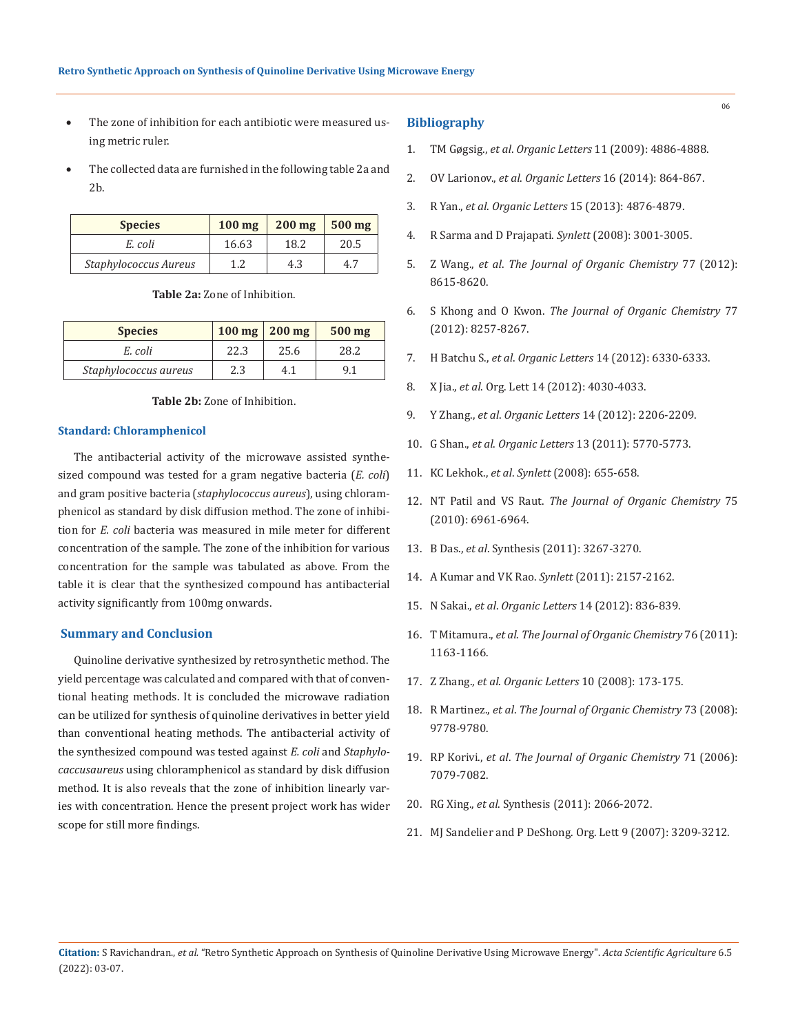- The zone of inhibition for each antibiotic were measured using metric ruler.
- The collected data are furnished in the following table 2a and 2b.

| <b>Species</b>        | $100$ mg | $200$ mg | $500$ mg |
|-----------------------|----------|----------|----------|
| E. coli               | 16.63    | 18.2     | 20.5     |
| Staphylococcus Aureus |          | 4.3      | 4.7      |

**Table 2a:** Zone of Inhibition.

| <b>Species</b>        | $100 \text{ mg}$ 200 mg |      | $500$ mg |
|-----------------------|-------------------------|------|----------|
| E. coli               | 22.3                    | 25.6 | 28.2     |
| Staphylococcus aureus | 2.3                     | 4.1  | 9 1      |

**Table 2b:** Zone of Inhibition.

### **Standard: Chloramphenicol**

The antibacterial activity of the microwave assisted synthesized compound was tested for a gram negative bacteria (*E. coli*) and gram positive bacteria (*staphylococcus aureus*), using chloramphenicol as standard by disk diffusion method. The zone of inhibition for *E. coli* bacteria was measured in mile meter for different concentration of the sample. The zone of the inhibition for various concentration for the sample was tabulated as above. From the table it is clear that the synthesized compound has antibacterial activity significantly from 100mg onwards.

### **Summary and Conclusion**

Quinoline derivative synthesized by retrosynthetic method. The yield percentage was calculated and compared with that of conventional heating methods. It is concluded the microwave radiation can be utilized for synthesis of quinoline derivatives in better yield than conventional heating methods. The antibacterial activity of the synthesized compound was tested against *E. coli* and *Staphylocaccusaureus* using chloramphenicol as standard by disk diffusion method. It is also reveals that the zone of inhibition linearly varies with concentration. Hence the present project work has wider scope for still more findings.

### **Bibliography**

- 1. TM Gøgsig., *et al*. *Organic Letters* 11 (2009): 4886-4888.
- 2. OV Larionov., *et al*. *Organic Letters* 16 (2014): 864-867.
- 3. R Yan., *et al*. *Organic Letters* 15 (2013): 4876-4879.
- 4. R Sarma and D Prajapati. *Synlett* (2008): 3001-3005.
- 5. Z Wang., *et al*. *The Journal of Organic Chemistry* 77 (2012): 8615-8620.
- 6. S Khong and O Kwon. *The Journal of Organic Chemistry* 77 (2012): 8257-8267.
- 7. H Batchu S., *et al*. *Organic Letters* 14 (2012): 6330-6333.
- 8. X Jia., *et al*. Org. Lett 14 (2012): 4030-4033.
- 9. Y Zhang., *et al*. *Organic Letters* 14 (2012): 2206-2209.
- 10. G Shan., *et al*. *Organic Letters* 13 (2011): 5770-5773.
- 11. KC Lekhok., *et al*. *Synlett* (2008): 655-658.
- 12. NT Patil and VS Raut. *The Journal of Organic Chemistry* 75 (2010): 6961-6964.
- 13. B Das., *et al*. Synthesis (2011): 3267-3270.
- 14. A Kumar and VK Rao. *Synlett* (2011): 2157-2162.
- 15. N Sakai., *et al*. *Organic Letters* 14 (2012): 836-839.
- 16. T Mitamura., *et al*. *The Journal of Organic Chemistry* 76 (2011): 1163-1166.
- 17. Z Zhang., *et al*. *Organic Letters* 10 (2008): 173-175.
- 18. R Martinez., *et al*. *The Journal of Organic Chemistry* 73 (2008): 9778-9780.
- 19. RP Korivi., *et al*. *The Journal of Organic Chemistry* 71 (2006): 7079-7082.
- 20. RG Xing., *et al*. Synthesis (2011): 2066-2072.
- 21. MJ Sandelier and P DeShong. Org. Lett 9 (2007): 3209-3212.